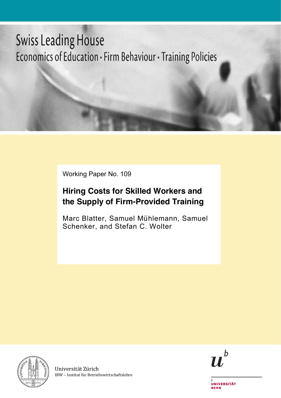# **Swiss Leading House** Economics of Education · Firm Behaviour · Training Policies

Working Paper No. 109

# **Hiring Costs for Skilled Workers and the Supply of Firm-Provided Training**

Marc Blatter, Samuel Mühlemann, Samuel Schenker, and Stefan C. Wolter



Universität Zürich IBW – Institut für Betriebswirtschaftslehre



**UNIVERSITÄT BERN**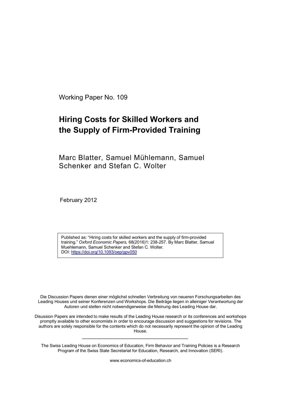Working Paper No. 109

# **Hiring Costs for Skilled Workers and the Supply of Firm-Provided Training**

Marc Blatter, Samuel Mühlemann, Samuel Schenker and Stefan C. Wolter

February 2012

Published as: "Hiring costs for skilled workers and the supply of firm-provided training." *Oxford Economic Papers,* 68(2016)1: 238-257. By Marc Blatter, Samuel Muehlemann, Samuel Schenker and Stefan C. Wolter. DOI: https://doi.org/10.1093/oep/gpv050

Die Discussion Papers dienen einer möglichst schnellen Verbreitung von neueren Forschungsarbeiten des Leading Houses und seiner Konferenzen und Workshops. Die Beiträge liegen in alleiniger Verantwortung der Autoren und stellen nicht notwendigerweise die Meinung des Leading House dar.

Disussion Papers are intended to make results of the Leading House research or its conferences and workshops promptly available to other economists in order to encourage discussion and suggestions for revisions. The authors are solely responsible for the contents which do not necessarily represent the opinion of the Leading House.

The Swiss Leading House on Economics of Education, Firm Behavior and Training Policies is a Research Program of the Swiss State Secretariat for Education, Research, and Innovation (SERI).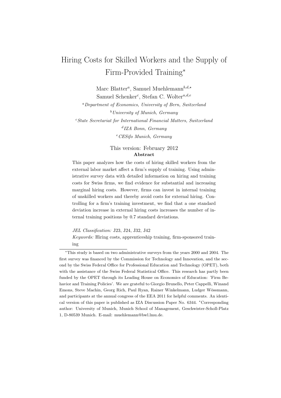# Hiring Costs for Skilled Workers and the Supply of Firm-Provided Training<sup>∗</sup>

Marc Blatter<sup>*a*</sup>, Samuel Muehlemann<sup>*b*,d,\*</sup> Samuel Schenker*<sup>c</sup>* , Stefan C. Wolter*a,d,e*

*<sup>a</sup>Department of Economics, University of Bern, Switzerland <sup>b</sup>University of Munich, Germany <sup>c</sup>State Secretariat for International Financial Matters, Switzerland <sup>d</sup>IZA Bonn, Germany <sup>e</sup>CESifo Munich, Germany*

> This version: February 2012 Abstract

This paper analyzes how the costs of hiring skilled workers from the external labor market affect a firm's supply of training. Using administrative survey data with detailed information on hiring and training costs for Swiss firms, we find evidence for substantial and increasing marginal hiring costs. However, firms can invest in internal training of unskilled workers and thereby avoid costs for external hiring. Controlling for a firm's training investment, we find that a one standard deviation increase in external hiring costs increases the number of internal training positions by 0.7 standard deviations.

*JEL Classification:* J23, J24, J32, J42

*Keywords:* Hiring costs, apprenticeship training, firm-sponsored training

<sup>∗</sup>This study is based on two administrative surveys from the years 2000 and 2004. The first survey was financed by the Commission for Technology and Innovation, and the second by the Swiss Federal Office for Professional Education and Technology (OPET), both with the assistance of the Swiss Federal Statistical Office. This research has partly been funded by the OPET through its Leading House on Economics of Education: 'Firm Behavior and Training Policies'. We are grateful to Giorgio Brunello, Peter Cappelli, Winand Emons, Steve Machin, Georg Rich, Paul Ryan, Rainer Winkelmann, Ludger Wössmann, and participants at the annual congress of the EEA 2011 for helpful comments. An identical version of this paper is published as IZA Discussion Paper No.  $6344.$  \*Corresponding author: University of Munich, Munich School of Management, Geschwister-Scholl-Platz 1, D-80539 Munich. E-mail: muehlemann@bwl.lmu.de.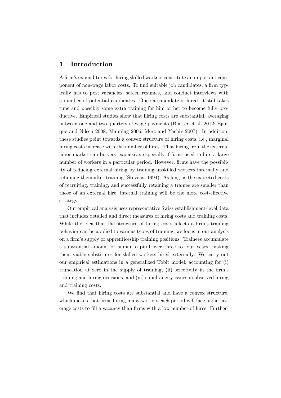# 1 Introduction

A firm's expenditures for hiring skilled workers constitute an important component of non-wage labor costs. To find suitable job candidates, a firm typically has to post vacancies, screen resumes, and conduct interviews with a number of potential candidates. Once a candidate is hired, it still takes time and possibly some extra training for him or her to become fully productive. Empirical studies show that hiring costs are substantial, averaging between one and two quarters of wage payments [\(Blatter et al.](#page-21-0) [2012;](#page-21-0) [Ejar](#page-21-0)que and Nilsen [2008;](#page-21-0) [Manning](#page-22-0) [2006](#page-22-0); [Merz and Yashiv](#page-22-0) [2007](#page-22-0)). In addition, these studies point towards a convex structure of hiring costs, i.e., marginal hiring costs increase with the number of hires. Thus hiring from the external labor market can be very expensive, especially if firms need to hire a large number of workers in a particular period. However, firms have the possibility of reducing external hiring by training unskilled workers internally and retaining them after training ([Stevens](#page-23-0), [1994\)](#page-23-0). As long as the expected costs of recruiting, training, and successfully retaining a trainee are smaller than those of an external hire, internal training will be the more cost-effective strategy.

Our empirical analysis uses representative Swiss establishment-level data that includes detailed and direct measures of hiring costs and training costs. While the idea that the structure of hiring costs affects a firm's training behavior can be applied to various types of training, we focus in our analysis on a firm's supply of apprenticeship training positions: Trainees accumulate a substantial amount of human capital over three to four years, making them viable substitutes for skilled workers hired externally. We carry out our empirical estimations in a generalized Tobit model, accounting for (i) truncation at zero in the supply of training, (ii) selectivity in the firm's training and hiring decisions, and (iii) simultaneity issues in observed hiring and training costs.

We find that hiring costs are substantial and have a convex structure, which means that firms hiring many workers each period will face higher average costs to fill a vacancy than firms with a low number of hires. Further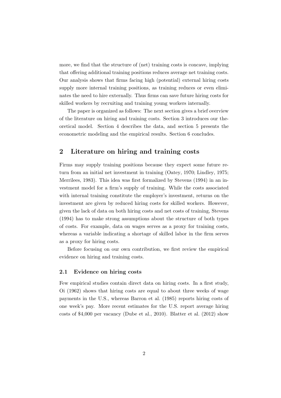more, we find that the structure of (net) training costs is concave, implying that offering additional training positions reduces average net training costs. Our analysis shows that firms facing high (potential) external hiring costs supply more internal training positions, as training reduces or even eliminates the need to hire externally. Thus firms can save future hiring costs for skilled workers by recruiting and training young workers internally.

The paper is organized as follows: The next section gives a brief overview of the literature on hiring and training costs. Section 3 introduces our theoretical model. Section 4 describes the data, and section 5 presents the econometric modeling and the empirical results. Section 6 concludes.

### 2 Literature on hiring and training costs

Firms may supply training positions because they expect some future return from an initial net investment in training ([Oatey,](#page-22-0) [1970;](#page-22-0) [Lindley](#page-22-0), [1975](#page-22-0); [Merrilees](#page-22-0), [1983\)](#page-22-0). This idea was first formalized by [Stevens](#page-23-0) ([1994\)](#page-23-0) in an investment model for a firm's supply of training. While the costs associated with internal training constitute the employer's investment, returns on the investment are given by reduced hiring costs for skilled workers. However, given the lack of data on both hiring costs and net costs of training, [Stevens](#page-23-0) [\(1994\)](#page-23-0) has to make strong assumptions about the structure of both types of costs. For example, data on wages serves as a proxy for training costs, whereas a variable indicating a shortage of skilled labor in the firm serves as a proxy for hiring costs.

Before focusing on our own contribution, we first review the empirical evidence on hiring and training costs.

#### 2.1 Evidence on hiring costs

Few empirical studies contain direct data on hiring costs. In a first study, [Oi](#page-23-0) ([1962\)](#page-23-0) shows that hiring costs are equal to about three weeks of wage payments in the U.S., whereas [Barron et al.](#page-21-0) [\(1985\)](#page-21-0) reports hiring costs of one week's pay. More recent estimates for the U.S. report average hiring costs of \$4,000 per vacancy ([Dube et al.,](#page-21-0) [2010\)](#page-21-0). [Blatter et al.](#page-21-0) [\(2012\)](#page-21-0) show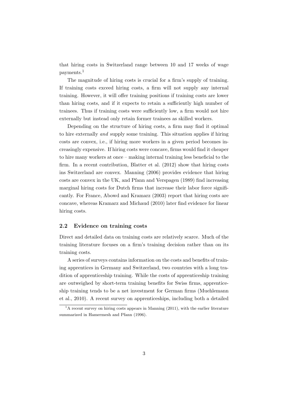that hiring costs in Switzerland range between 10 and 17 weeks of wage payments.<sup>1</sup>

The magnitude of hiring costs is crucial for a firm's supply of training. If training costs exceed hiring costs, a firm will not supply any internal training. However, it will offer training positions if training costs are lower than hiring costs, and if it expects to retain a sufficiently high number of trainees. Thus if training costs were sufficiently low, a firm would not hire externally but instead only retain former trainees as skilled workers.

Depending on the structure of hiring costs, a firm may find it optimal to hire externally *and* supply some training. This situation applies if hiring costs are convex, i.e., if hiring more workers in a given period becomes increasingly expensive. If hiring costs were concave, firms would find it cheaper to hire many workers at once – making internal training less beneficial to the firm. In a recent contribution, [Blatter et al.](#page-21-0) ([2012](#page-21-0)) show that hiring costs ins Switzerland are convex. [Manning](#page-22-0) [\(2006\)](#page-22-0) provides evidence that hiring costs are convex in the UK, and [Pfann and Verspagen](#page-23-0) ([1989\)](#page-23-0) find increasing marginal hiring costs for Dutch firms that increase their labor force significantly. For France, [Abowd and Kramarz](#page-21-0) ([2003](#page-21-0)) report that hiring costs are concave, whereas [Kramarz and Michaud](#page-22-0) [\(2010](#page-22-0)) later find evidence for linear hiring costs.

#### 2.2 Evidence on training costs

Direct and detailed data on training costs are relatively scarce. Much of the training literature focuses on a firm's training decision rather than on its training costs.

A series of surveys contains information on the costs and benefits of training apprentices in Germany and Switzerland, two countries with a long tradition of apprenticeship training. While the costs of apprenticeship training are outweighed by short-term training benefits for Swiss firms, apprenticeship training tends to be a net investment for German firms ([Muehlemann](#page-22-0) et al., [2010\)](#page-22-0). A recent survey on apprenticeships, including both a detailed

 $1<sup>1</sup>A$  recent survey on hiring costs appears in [Manning](#page-22-0) [\(2011\)](#page-22-0), with the earlier literature summarized in [Hamermesh and Pfann](#page-21-0) ([1996](#page-21-0)).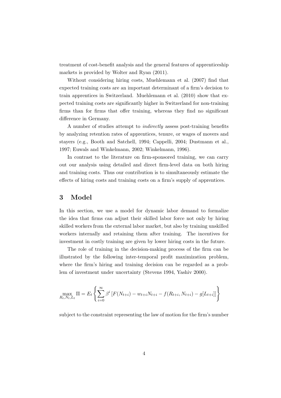treatment of cost-benefit analysis and the general features of apprenticeship markets is provided by [Wolter and Ryan](#page-23-0) ([2011\)](#page-23-0).

Without considering hiring costs, [Muehlemann et al.](#page-22-0) ([2007](#page-22-0)) find that expected training costs are an important determinant of a firm's decision to train apprentices in Switzerland. [Muehlemann et al.](#page-22-0) [\(2010](#page-22-0)) show that expected training costs are significantly higher in Switzerland for non-training firms than for firms that offer training, whereas they find no significant difference in Germany.

A number of studies attempt to *indirectly* assess post-training benefits by analyzing retention rates of apprentices, tenure, or wages of movers and stayers (e.g., [Booth and Satchell](#page-21-0), [1994;](#page-21-0) [Cappelli,](#page-21-0) [2004](#page-21-0); [Dustmann et al.](#page-21-0), [1997;](#page-21-0) [Euwals and Winkelmann,](#page-21-0) [2002](#page-21-0); [Winkelmann](#page-23-0), [1996\)](#page-23-0).

In contrast to the literature on firm-sponsored training, we can carry out our analysis using detailed and direct firm-level data on both hiring and training costs. Thus our contribution is to simultaneously estimate the effects of hiring costs and training costs on a firm's supply of apprentices.

### 3 Model

In this section, we use a model for dynamic labor demand to formalize the idea that firms can adjust their skilled labor force not only by hiring skilled workers from the external labor market, but also by training unskilled workers internally and retaining them after training. The incentives for investment in costly training are given by lower hiring costs in the future.

The role of training in the decision-making process of the firm can be illustrated by the following inter-temporal profit maximization problem, where the firm's hiring and training decision can be regarded as a problem of investment under uncertainty ([Stevens](#page-23-0) [1994](#page-23-0), [Yashiv](#page-23-0) [2000](#page-23-0)).

$$
\max_{R_t, N_t, L_t} \Pi = E_t \left\{ \sum_{i=0}^{\infty} \beta^i \left[ F(N_{t+i}) - w_{t+i} N_{t+i} - f(R_{t+i}, N_{t+i}) - g[L_{t+i}] \right] \right\}
$$

subject to the constraint representing the law of motion for the firm's number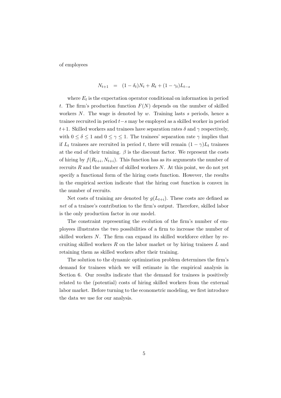of employees

$$
N_{t+1} = (1 - \delta_t)N_t + R_t + (1 - \gamma_t)L_{t-s}
$$

where  $E_t$  is the expectation operator conditional on information in period *t*. The firm's production function  $F(N)$  depends on the number of skilled workers *N*. The wage is denoted by *w*. Training lasts *s* periods, hence a trainee recruited in period *t*−*s* may be employed as a skilled worker in period *t*+1. Skilled workers and trainees have separation rates  $\delta$  and  $\gamma$  respectively, with  $0 \le \delta \le 1$  and  $0 \le \gamma \le 1$ . The trainees' separation rate  $\gamma$  implies that if  $L_t$  trainees are recruited in period *t*, there will remain  $(1 - \gamma)L_t$  trainees at the end of their training.  $\beta$  is the discount factor. We represent the costs of hiring by  $f(R_{t+i}, N_{t+i})$ . This function has as its arguments the number of recruits *R* and the number of skilled workers *N*. At this point, we do not yet specify a functional form of the hiring costs function. However, the results in the empirical section indicate that the hiring cost function is convex in the number of recruits.

Net costs of training are denoted by  $g(L_{t+i})$ . These costs are defined as *net* of a trainee's contribution to the firm's output. Therefore, skilled labor is the only production factor in our model.

The constraint representing the evolution of the firm's number of employees illustrates the two possibilities of a firm to increase the number of skilled workers *N*. The firm can expand its skilled workforce either by recruiting skilled workers *R* on the labor market or by hiring trainees *L* and retaining them as skilled workers after their training.

The solution to the dynamic optimization problem determines the firm's demand for trainees which we will estimate in the empirical analysis in Section 6. Our results indicate that the demand for trainees is positively related to the (potential) costs of hiring skilled workers from the external labor market. Before turning to the econometric modeling, we first introduce the data we use for our analysis.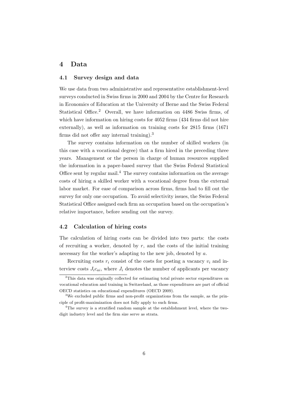### 4 Data

#### 4.1 Survey design and data

We use data from two administrative and representative establishment-level surveys conducted in Swiss firms in 2000 and 2004 by the Centre for Research in Economics of Education at the University of Berne and the Swiss Federal Statistical Office.<sup>2</sup> Overall, we have information on 4486 Swiss firms, of which have information on hiring costs for 4052 firms (434 firms did not hire externally), as well as information on training costs for 2815 firms (1671 firms did not offer any internal training).<sup>3</sup>

The survey contains information on the number of skilled workers (in this case with a vocational degree) that a firm hired in the preceding three years. Management or the person in charge of human resources supplied the information in a paper-based survey that the Swiss Federal Statistical Office sent by regular mail.<sup>4</sup> The survey contains information on the average costs of hiring a skilled worker with a vocational degree from the external labor market. For ease of comparison across firms, firms had to fill out the survey for only one occupation. To avoid selectivity issues, the Swiss Federal Statistical Office assigned each firm an occupation based on the occupation's relative importance, before sending out the survey.

#### 4.2 Calculation of hiring costs

The calculation of hiring costs can be divided into two parts: the costs of recruiting a worker, denoted by  $r$ , and the costs of the initial training necessary for the worker's adapting to the new job, denoted by *a*.

Recruiting costs  $r_i$  consist of the costs for posting a vacancy  $v_i$  and interview costs  $J_i c_{ai}$ , where  $J_i$  denotes the number of applicants per vacancy

<sup>2</sup>This data was originally collected for estimating total private sector expenditures on vocational education and training in Switzerland, as those expenditures are part of official OECD statistics on educational expenditures [\(OECD](#page-23-0) [2009\)](#page-23-0).

<sup>3</sup>We excluded public firms and non-profit organizations from the sample, as the principle of profit-maximization does not fully apply to such firms.

<sup>&</sup>lt;sup>4</sup>The survey is a stratified random sample at the establishment level, where the twodigit industry level and the firm size serve as strata.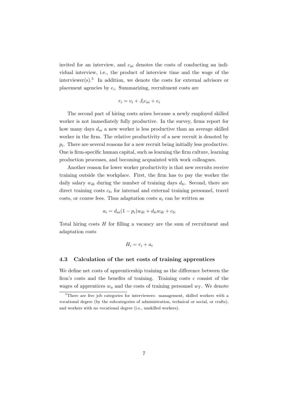invited for an interview, and *cai* denotes the costs of conducting an individual interview, i.e., the product of interview time and the wage of the interviewer(s).<sup>5</sup> In addition, we denote the costs for external advisors or placement agencies by *ei*. Summarizing, recruitment costs are

$$
r_i = v_i + J_i c_{ai} + e_i
$$

The second part of hiring costs arises because a newly employed skilled worker is not immediately fully productive. In the survey, firms report for how many days *dai* a new worker is less productive than an average skilled worker in the firm. The relative productivity of a new recruit is denoted by  $p_i$ . There are several reasons for a new recruit being initially less productive. One is firm-specific human capital, such as learning the firm culture, learning production processes, and becoming acquainted with work colleagues.

Another reason for lower worker productivity is that new recruits receive training outside the workplace. First, the firm has to pay the worker the daily salary  $w_{di}$  during the number of training days  $d_{ti}$ . Second, there are direct training costs  $c_{ti}$  for internal and external training personnel, travel costs, or course fees. Thus adaptation costs *a<sup>i</sup>* can be written as

$$
a_i = d_{ai}(1 - p_i)w_{di} + d_{ti}w_{di} + c_{ti}
$$

Total hiring costs *H* for filling a vacancy are the sum of recruitment and adaptation costs

$$
H_i = r_i + a_i
$$

#### 4.3 Calculation of the net costs of training apprentices

We define net costs of apprenticeship training as the difference between the firm's costs and the benefits of training. Training costs *c* consist of the wages of apprentices  $w_a$  and the costs of training personnel  $w_T$ . We denote

<sup>5</sup>There are five job categories for interviewers: management, skilled workers with a vocational degree (by the subcategories of administration, technical or social, or crafts), and workers with no vocational degree (i.e., unskilled workers).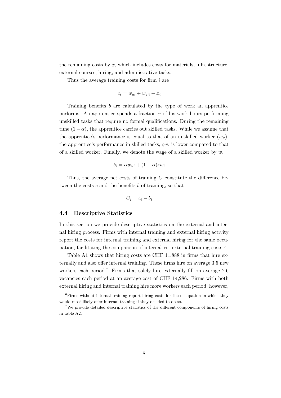the remaining costs by *x*, which includes costs for materials, infrastructure, external courses, hiring, and administrative tasks.

Thus the average training costs for firm *i* are

$$
c_i = w_{ai} + w_{Ti} + x_i
$$

Training benefits *b* are calculated by the type of work an apprentice performs. An apprentice spends a fraction  $\alpha$  of his work hours performing unskilled tasks that require no formal qualifications. During the remaining time  $(1 - \alpha)$ , the apprentice carries out skilled tasks. While we assume that the apprentice's performance is equal to that of an unskilled worker  $(w_u)$ , the apprentice's performance in skilled tasks, ς*w*, is lower compared to that of a skilled worker. Finally, we denote the wage of a skilled worker by *w*.

$$
b_i = \alpha w_{ui} + (1 - \alpha)\varsigma w_i
$$

Thus, the average net costs of training *C* constitute the difference between the costs *c* and the benefits *b* of training, so that

$$
C_i = c_i - b_i
$$

#### 4.4 Descriptive Statistics

In this section we provide descriptive statistics on the external and internal hiring process. Firms with internal training and external hiring activity report the costs for internal training and external hiring for the same occupation, facilitating the comparison of internal vs. external training costs.<sup>6</sup>

Table [A1](#page-18-0) shows that hiring costs are CHF 11,888 in firms that hire externally and also offer internal training. These firms hire on average 3.5 new workers each period.<sup>7</sup> Firms that solely hire externally fill on average 2.6 vacancies each period at an average cost of CHF 14,286. Firms with both external hiring and internal training hire more workers each period, however,

<sup>6</sup>Firms without internal training report hiring costs for the occupation in which they would most likely offer internal training if they decided to do so.

<sup>7</sup>We provide detailed descriptive statistics of the different components of hiring costs in table [A2](#page-25-0).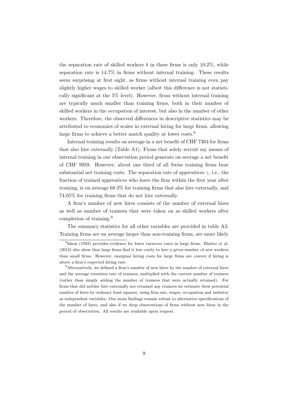the separation rate of skilled workers  $\delta$  in these firms is only 10.2%, while separation rate is 14*.*7% in firms without internal training. These results seem surprising at first sight, as firms without internal training even pay slightly higher wages to skilled worker (albeit this difference is not statistically significant at the 5% level). However, firms without internal training are typically much smaller than training firms, both in their number of skilled workers in the occupation of interest, but also in the number of other workers. Therefore, the observed differences in descriptive statistics may be attributed to economies of scales in external hiring for large firms, allowing large firms to achieve a better match quality at lower costs.<sup>8</sup>

Internal training results on average in a net benefit of CHF 7304 for firms that also hire externally (Table [A1\)](#page-18-0). Firms that solely recruit my means of internal training in our observation period generate on average a net benefit of CHF 9959. However, about one third of all Swiss training firms bear substantial net training costs. The separation rate of apprentices  $\gamma$ , i.e., the fraction of trained apprentices who leave the firm within the first year after training, is on average 68.3% for training firms that also hire externally, and 74.05% for training firms that do not hire externally.

A firm's number of new hires consists of the number of external hires as well as number of trainees that were taken on as skilled workers after completion of training.<sup>9</sup>

The summary statistics for all other variables are provided in table [A3](#page-26-0). Training firms are on average larger than non-training firms, are more likely

<sup>8</sup>[Idson](#page-22-0) [\(1993\)](#page-22-0) provides evidence for lower turnover rates in large firms. [Blatter et al.](#page-21-0) [\(2012\)](#page-21-0) also show that large firms find it less costly to hire a given number of new workers than small firms. However, marginal hiring costs for large firms are convex if hiring is above a firm's expected hiring rate.

 $9$ Alternatively, we defined a firm's number of new hires by the number of external hires and the average retention rate of trainees, multiplied with the current number of trainees (rather than simply adding the number of trainees that were actually retained). For firms that did neither hire externally nor retained any trainees we estimate their potential number of hires by ordinary least squares, using firm size, wages, occupation and industry as independent variables. Our main findings remain robust to alternative specifications of the number of hires, and also if we drop observations of firms without new hires in the period of observation. All results are available upon request.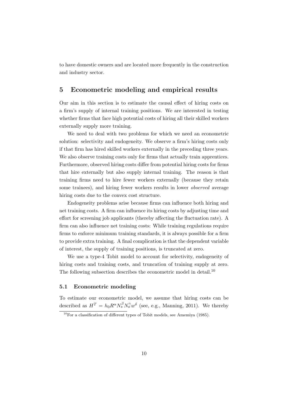to have domestic owners and are located more frequently in the construction and industry sector.

### 5 Econometric modeling and empirical results

Our aim in this section is to estimate the causal effect of hiring costs on a firm's supply of internal training positions. We are interested in testing whether firms that face high potential costs of hiring all their skilled workers externally supply more training.

We need to deal with two problems for which we need an econometric solution: selectivity and endogeneity. We observe a firm's hiring costs only if that firm has hired skilled workers externally in the preceding three years. We also observe training costs only for firms that actually train apprentices. Furthermore, observed hiring costs differ from potential hiring costs for firms that hire externally but also supply internal training. The reason is that training firms need to hire fewer workers externally (because they retain some trainees), and hiring fewer workers results in lower *observed* average hiring costs due to the convex cost structure.

Endogeneity problems arise because firms can influence both hiring and net training costs. A firm can influence its hiring costs by adjusting time and effort for screening job applicants (thereby affecting the fluctuation rate). A firm can also influence net training costs: While training regulations require firms to enforce minimum training standards, it is always possible for a firm to provide extra training. A final complication is that the dependent variable of interest, the supply of training positions, is truncated at zero.

We use a type-4 Tobit model to account for selectivity, endogeneity of hiring costs and training costs, and truncation of training supply at zero. The following subsection describes the econometric model in detail.<sup>10</sup>

#### 5.1 Econometric modeling

To estimate our econometric model, we assume that hiring costs can be described as  $H^T = h_0 R^{\alpha} N_s^{\beta} N_o^{\gamma} w^{\delta}$  (see, e.g., [Manning](#page-22-0), [2011](#page-22-0)). We thereby

 $10$ For a classification of different types of Tobit models, see [Amemiya](#page-21-0) ([1985](#page-21-0)).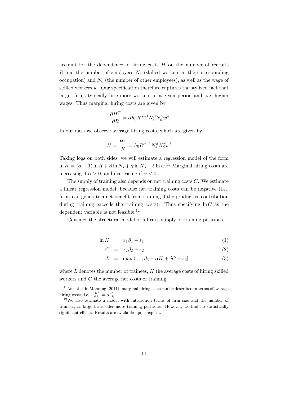<span id="page-13-0"></span>account for the dependence of hiring costs *H* on the number of recruits *R* and the number of employees *N<sup>s</sup>* (skilled workers in the corresponding occupation) and *N<sup>o</sup>* (the number of other employees), as well as the wage of skilled workers *w*. Our specification therefore captures the stylized fact that larger firms typically hire more workers in a given period and pay higher wages. Thus marginal hiring costs are given by

$$
\frac{\partial H^T}{\partial R} = \alpha h_0 R^{\alpha - 1} N_s^{\beta} N_o^{\gamma} w^{\delta}
$$

In our data we observe average hiring costs, which are given by

$$
H = \frac{H^T}{R} = h_0 R^{\alpha - 1} N_s^{\beta} N_o^{\gamma} w^{\delta}
$$

Taking logs on both sides, we will estimate a regression model of the form  $\ln H = (\alpha - 1) \ln R + \beta \ln N_s + \gamma \ln N_o + \delta \ln w$ <sup>11</sup> Marginal hiring costs are increasing if  $\alpha > 0$ , and decreasing if  $\alpha < 0$ .

The supply of training also depends on net training costs *C*. We estimate a linear regression model, because net training costs can be negative (i.e., firms can generate a net benefit from training if the productive contribution during training exceeds the training costs). Thus specifying  $\ln C$  as the dependent variable is not feasible.<sup>12</sup>

Consider the structural model of a firm's supply of training positions.

$$
\ln H = x_1 \beta_1 + \varepsilon_1 \tag{1}
$$

$$
C = x_2 \beta_2 + \varepsilon_2 \tag{2}
$$

$$
L = \max[0, x_3\beta_3 + \alpha H + \delta C + \varepsilon_3]
$$
 (3)

where *L* denotes the number of trainees, *H* the average costs of hiring skilled workers and *C* the average net costs of training.

 $11<sup>11</sup>$ As noted in [Manning](#page-22-0) ([2011](#page-22-0)), marginal hiring costs can be described in terms of average hiring costs, i.e.,  $\frac{\partial H^T}{\partial R} = \alpha \frac{H^T}{R}$ .<br><sup>12</sup>We also estimate a model with interaction terms of firm size and the number of

trainees, as large firms offer more training positions. However, we find no statistically significant effects. Results are available upon request.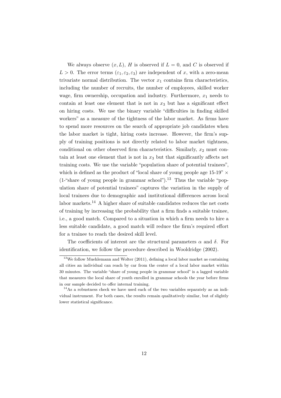We always observe  $(x, L)$ , *H* is observed if  $L = 0$ , and *C* is observed if  $L > 0$ . The error terms  $(\varepsilon_1, \varepsilon_2, \varepsilon_3)$  are independent of *x*, with a zero-mean trivariate normal distribution. The vector  $x_1$  contains firm characteristics, including the number of recruits, the number of employees, skilled worker wage, firm ownership, occupation and industry. Furthermore,  $x_1$  needs to contain at least one element that is not in  $x_3$  but has a significant effect on hiring costs. We use the binary variable "difficulties in finding skilled workers" as a measure of the tightness of the labor market. As firms have to spend more resources on the search of appropriate job candidates when the labor market is tight, hiring costs increase. However, the firm's supply of training positions is not directly related to labor market tightness, conditional on other observed firm characteristics. Similarly, *x*<sup>2</sup> must contain at least one element that is not in  $x_3$  but that significantly affects net training costs. We use the variable "population share of potential trainees", which is defined as the product of "local share of young people age  $15{\text -}19"$   $\times$  $(1-\text{``share of young people in grammar school''})$ <sup>13</sup> Thus the variable "population share of potential trainees" captures the variation in the supply of local trainees due to demographic and institutional differences across local labor markets.<sup>14</sup> A higher share of suitable candidates reduces the net costs of training by increasing the probability that a firm finds a suitable trainee, i.e., a good match. Compared to a situation in which a firm needs to hire a less suitable candidate, a good match will reduce the firm's required effort for a trainee to reach the desired skill level.

The coefficients of interest are the structural parameters  $\alpha$  and  $\delta$ . For identification, we follow the procedure described in [Wooldridge](#page-23-0) [\(2002](#page-23-0)).

<sup>&</sup>lt;sup>13</sup>We follow [Muehlemann and Wolter](#page-22-0) ([2011](#page-22-0)), defining a local labor market as containing all cities an individual can reach by car from the center of a local labor market within 30 minutes. The variable "share of young people in grammar school" is a lagged variable that measures the local share of youth enrolled in grammar schools the year before firms in our sample decided to offer internal training.

<sup>&</sup>lt;sup>14</sup>As a robustness check we have used each of the two variables separately as an individual instrument. For both cases, the results remain qualitatively similar, but of slightly lower statistical significance.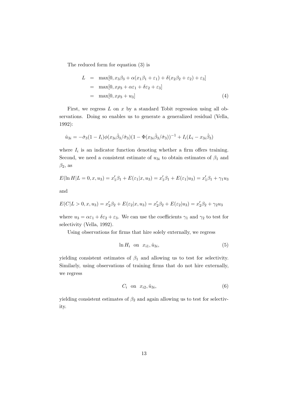<span id="page-15-0"></span>The reduced form for equation ([3](#page-13-0)) is

$$
L = \max[0, x_3\beta_3 + \alpha(x_1\beta_1 + \varepsilon_1) + \delta(x_2\beta_2 + \varepsilon_2) + \varepsilon_3]
$$
  
= 
$$
\max[0, x\beta_3 + \alpha\varepsilon_1 + \delta\varepsilon_2 + \varepsilon_3]
$$
  
= 
$$
\max[0, x\beta_3 + u_3]
$$
 (4)

First, we regress *L* on *x* by a standard Tobit regression using all observations. Doing so enables us to generate a generalized residual ([Vella](#page-23-0), [1992\)](#page-23-0):

$$
\hat{u}_{3i} = -\hat{\sigma}_3 (1 - I_i) \phi(x_{3i}\hat{\beta}_3/\hat{\sigma}_3)(1 - \Phi(x_{3i}\hat{\beta}_3/\hat{\sigma}_3))^{-1} + I_i(L_i - x_{3i}\hat{\beta}_3)
$$

where  $I_i$  is an indicator function denoting whether a firm offers training. Second, we need a consistent estimate of  $u_{3i}$  to obtain estimates of  $\beta_1$  and  $\beta_2$ , as

$$
E(\ln H|L=0, x, u_3) = x'_1\beta_1 + E(\varepsilon_1|x, u_3) = x'_1\beta_1 + E(\varepsilon_1|u_3) = x'_1\beta_1 + \gamma_1u_3
$$

and

$$
E(C|L>0, x, u_3) = x'_2\beta_2 + E(\varepsilon_2|x, u_3) = x'_2\beta_2 + E(\varepsilon_2|u_3) = x'_2\beta_2 + \gamma_2u_3
$$

where  $u_3 = \alpha \varepsilon_1 + \delta \varepsilon_2 + \varepsilon_3$ . We can use the coefficients  $\gamma_1$  and  $\gamma_2$  to test for selectivity [\(Vella,](#page-23-0) [1992](#page-23-0)).

Using observations for firms that hire solely externally, we regress

$$
\ln H_i \quad \text{on} \quad x_{i1}, \hat{u}_{3i}, \tag{5}
$$

yielding consistent estimates of  $\beta_1$  and allowing us to test for selectivity. Similarly, using observations of training firms that do not hire externally, we regress

$$
C_i \quad \text{on} \quad x_{i2}, \hat{u}_{3i}, \tag{6}
$$

yielding consistent estimates of  $\beta_2$  and again allowing us to test for selectivity.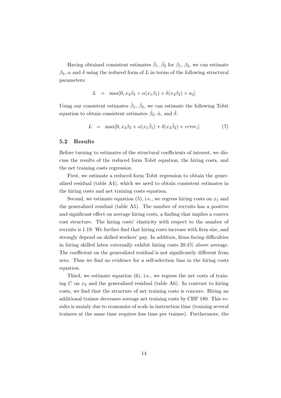Having obtained consistent estimates  $\hat{\beta}_1$ ,  $\hat{\beta}_2$  for  $\beta_1$ ,  $\beta_2$ , we can estimate  $\beta_3$ ,  $\alpha$  and  $\delta$  using the reduced form of *L* in terms of the following structural parameters:

$$
L = \max[0, x_3\beta_3 + \alpha(x_1\beta_1) + \delta(x_2\beta_2) + u_3]
$$

Using our consistent estimates  $\hat{\beta}_1$ ,  $\hat{\beta}_2$ , we can estimate the following Tobit equation to obtain consistent estimates  $\hat{\beta}_3$ ,  $\hat{\alpha}$ , and  $\hat{\delta}$ :

$$
L = \max[0, x_3\beta_3 + \alpha(x_1\hat{\beta}_1) + \delta(x_2\hat{\beta}_2) + error_i]
$$
\n(7)

#### 5.2 Results

Before turning to estimates of the structural coefficients of interest, we discuss the results of the reduced form Tobit equation, the hiring costs, and the net training costs regression.

First, we estimate a reduced form Tobit regression to obtain the generalized residual (table [A4](#page-27-0)), which we need to obtain consistent estimates in the hiring costs and net training costs equation.

Second, we estimate equation  $(5)$  $(5)$  $(5)$ , i.e., we regress hiring costs on  $x_1$  and the generalized residual (table [A5\)](#page-28-0). The number of recruits has a positive and significant effect on average hiring costs, a finding that implies a convex cost structure. The hiring costs' elasticity with respect to the number of recruits is 1.19. We further find that hiring costs increase with firm size, and strongly depend on skilled workers' pay. In addition, firms facing difficulties in hiring skilled labor externally exhibit hiring costs 20.4% above average. The coefficient on the generalized residual is not significantly different from zero. Thus we find no evidence for a self-selection bias in the hiring costs equation.

Third, we estimate equation [\(6\)](#page-15-0), i.e., we regress the net costs of training *C* on  $x_2$  and the generalized residual (table [A6](#page-29-0)). In contrast to hiring costs, we find that the structure of net training costs is concave. Hiring an additional trainee decreases average net training costs by CHF 180. This results is mainly due to economies of scale in instruction time (training several trainees at the same time requires less time per trainee). Furthermore, the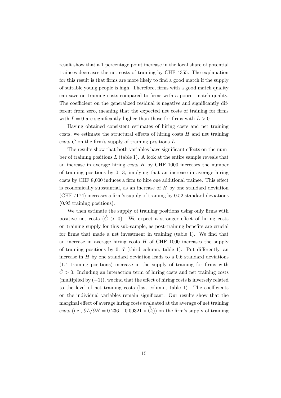result show that a 1 percentage point increase in the local share of potential trainees decreases the net costs of training by CHF 4355. The explanation for this result is that firms are more likely to find a good match if the supply of suitable young people is high. Therefore, firms with a good match quality can save on training costs compared to firms with a poorer match quality. The coefficient on the generalized residual is negative and significantly different from zero, meaning that the expected net costs of training for firms with  $L = 0$  are significantly higher than those for firms with  $L > 0$ .

Having obtained consistent estimates of hiring costs and net training costs, we estimate the structural effects of hiring costs *H* and net training costs *C* on the firm's supply of training positions *L*.

The results show that both variables have significant effects on the number of training positions *L* (table [1\)](#page-18-0). A look at the entire sample reveals that an increase in average hiring costs *H* by CHF 1000 increases the number of training positions by 0.13, implying that an increase in average hiring costs by CHF 8,000 induces a firm to hire one additional trainee. This effect is economically substantial, as an increase of *H* by one standard deviation (CHF 7174) increases a firm's supply of training by 0.52 standard deviations (0.93 training positions).

We then estimate the supply of training positions using only firms with positive net costs  $(\hat{C} > 0)$ . We expect a stronger effect of hiring costs on training supply for this sub-sample, as post-training benefits are crucial for firms that made a net investment in training (table [1\)](#page-18-0). We find that an increase in average hiring costs *H* of CHF 1000 increases the supply of training positions by 0.17 (third column, table [1](#page-18-0)). Put differently, an increase in  $H$  by one standard deviation leads to a  $0.6$  standard deviations (1.4 training positions) increase in the supply of training for firms with  $\hat{C} > 0$ . Including an interaction term of hiring costs and net training costs (multiplied by  $(-1)$ ), we find that the effect of hiring costs is inversely related to the level of net training costs (last column, table [1](#page-18-0)). The coefficients on the individual variables remain significant. Our results show that the marginal effect of average hiring costs evaluated at the average of net training  $\cos$ ts (i.e.,  $\partial L/\partial H = 0.236 - 0.00321 \times \overline{\hat{C}}_i$ )) on the firm's supply of training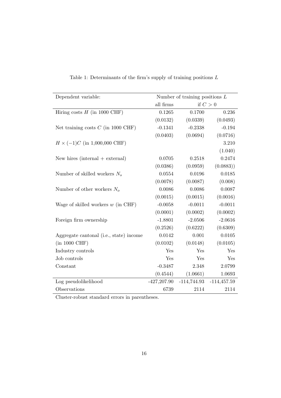| Dependent variable:                     | Number of training positions $L$ |               |               |
|-----------------------------------------|----------------------------------|---------------|---------------|
|                                         | all firms                        |               | if $C>0$      |
| Hiring costs $H$ (in 1000 CHF)          | 0.1265                           | 0.1700        | 0.236         |
|                                         | (0.0132)                         | (0.0339)      | (0.0493)      |
| Net training costs $C$ (in 1000 CHF)    | $-0.1341$                        | $-0.2338$     | $-0.194$      |
|                                         | (0.0403)                         | (0.0694)      | (0.0716)      |
| $H \times (-1)C$ (in 1,000,000 CHF)     |                                  |               | 3.210         |
|                                         |                                  |               | (1.040)       |
| New hires (internal $+$ external)       | 0.0705                           | 0.2518        | 0.2474        |
|                                         | (0.0386)                         | (0.0959)      | (0.0883)      |
| Number of skilled workers $N_s$         | 0.0554                           | 0.0196        | 0.0185        |
|                                         | (0.0078)                         | (0.0087)      | (0.008)       |
| Number of other workers $N_o$           | 0.0086                           | 0.0086        | 0.0087        |
|                                         | (0.0015)                         | (0.0015)      | (0.0016)      |
| Wage of skilled workers $w$ (in CHF)    | $-0.0058$                        | $-0.0011$     | $-0.0011$     |
|                                         | (0.0001)                         | (0.0002)      | (0.0002)      |
| Foreign firm ownership                  | $-1.8801$                        | $-2.0506$     | $-2.0616$     |
|                                         | (0.2526)                         | (0.6222)      | (0.6309)      |
| Aggregate cantonal (i.e., state) income | 0.0142                           | 0.001         | 0.0105        |
| $(in 1000 \text{ CHF})$                 | (0.0102)                         | (0.0148)      | (0.0105)      |
| Industry controls                       | Yes                              | Yes           | Yes           |
| Job controls                            | Yes                              | Yes           | Yes           |
| Constant                                | $-0.3487$                        | 2.348         | 2.0799        |
|                                         | (0.4544)                         | (1.0661)      | 1.0693        |
| Log pseudolikelihood                    | $-427,207.90$                    | $-114,744.93$ | $-114,457.59$ |
| Observations                            | 6739                             | 2114          | 2114          |

<span id="page-18-0"></span>Table 1: Determinants of the firm's supply of training positions *L*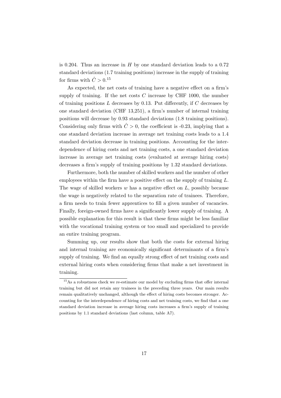is 0.204. Thus an increase in *H* by one standard deviation leads to a 0.72 standard deviations (1.7 training positions) increase in the supply of training for firms with  $\hat{C} > 0.15$ 

As expected, the net costs of training have a negative effect on a firm's supply of training. If the net costs  $C$  increase by CHF 1000, the number of training positions *L* decreases by 0.13. Put differently, if *C* decreases by one standard deviation (CHF 13,251), a firm's number of internal training positions will decrease by 0.93 standard deviations (1.8 training positions). Considering only firms with  $\hat{C} > 0$ , the coefficient is -0.23, implying that a one standard deviation increase in average net training costs leads to a 1.4 standard deviation decrease in training positions. Accounting for the interdependence of hiring costs and net training costs, a one standard deviation increase in average net training costs (evaluated at average hiring costs) decreases a firm's supply of training positions by 1.32 standard deviations.

Furthermore, both the number of skilled workers and the number of other employees within the firm have a positive effect on the supply of training *L*. The wage of skilled workers *w* has a negative effect on *L*, possibly because the wage is negatively related to the separation rate of trainees. Therefore, a firm needs to train fewer apprentices to fill a given number of vacancies. Finally, foreign-owned firms have a significantly lower supply of training. A possible explanation for this result is that these firms might be less familiar with the vocational training system or too small and specialized to provide an entire training program.

Summing up, our results show that both the costs for external hiring and internal training are economically significant determinants of a firm's supply of training. We find an equally strong effect of net training costs and external hiring costs when considering firms that make a net investment in training.

<sup>15</sup>As a robustness check we re-estimate our model by excluding firms that offer internal training but did not retain any trainees in the preceding three years. Our main results remain qualitatively unchanged, although the effect of hiring costs becomes stronger. Accounting for the interdependence of hiring costs and net training costs, we find that a one standard deviation increase in average hiring costs increases a firm's supply of training positions by 1.1 standard deviations (last column, table [A7\)](#page-30-0).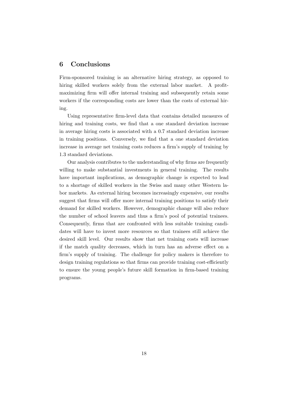# 6 Conclusions

Firm-sponsored training is an alternative hiring strategy, as opposed to hiring skilled workers solely from the external labor market. A profitmaximizing firm will offer internal training and subsequently retain some workers if the corresponding costs are lower than the costs of external hiring.

Using representative firm-level data that contains detailed measures of hiring and training costs, we find that a one standard deviation increase in average hiring costs is associated with a 0.7 standard deviation increase in training positions. Conversely, we find that a one standard deviation increase in average net training costs reduces a firm's supply of training by 1.3 standard deviations.

Our analysis contributes to the understanding of why firms are frequently willing to make substantial investments in general training. The results have important implications, as demographic change is expected to lead to a shortage of skilled workers in the Swiss and many other Western labor markets. As external hiring becomes increasingly expensive, our results suggest that firms will offer more internal training positions to satisfy their demand for skilled workers. However, demographic change will also reduce the number of school leavers and thus a firm's pool of potential trainees. Consequently, firms that are confronted with less suitable training candidates will have to invest more resources so that trainees still achieve the desired skill level. Our results show that net training costs will increase if the match quality decreases, which in turn has an adverse effect on a firm's supply of training. The challenge for policy makers is therefore to design training regulations so that firms can provide training cost-efficiently to ensure the young people's future skill formation in firm-based training programs.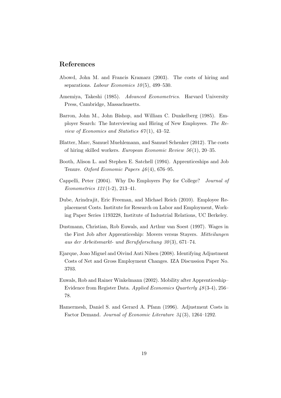## <span id="page-21-0"></span>References

- Abowd, John M. and Francis Kramarz (2003). The costs of hiring and separations. *Labour Economics 10* (5), 499–530.
- Amemiya, Takeshi (1985). *Advanced Econometrics*. Harvard University Press, Cambridge, Massachusetts.
- Barron, John M., John Bishop, and William C. Dunkelberg (1985). Employer Search: The Interviewing and Hiring of New Employees. *The Review of Economics and Statistics 67* (1), 43–52.
- Blatter, Marc, Samuel Muehlemann, and Samuel Schenker (2012). The costs of hiring skilled workers. *European Economic Review 56* (1), 20–35.
- Booth, Alison L. and Stephen E. Satchell (1994). Apprenticeships and Job Tenure. *Oxford Economic Papers 46* (4), 676–95.
- Cappelli, Peter (2004). Why Do Employers Pay for College? *Journal of Econometrics 121* (1-2), 213–41.
- Dube, Arindrajit, Eric Freeman, and Michael Reich (2010). Employee Replacement Costs. Institute for Research on Labor and Employment, Working Paper Series 1193228, Institute of Industrial Relations, UC Berkeley.
- Dustmann, Christian, Rob Euwals, and Arthur van Soest (1997). Wages in the First Job after Apprenticeship: Movers versus Stayers. *Mitteilungen aus der Arbeitsmarkt- und Berufsforschung 30* (3), 671–74.
- Ejarque, Joao Miguel and Oivind Anti Nilsen (2008). Identifying Adjustment Costs of Net and Gross Employment Changes. IZA Discussion Paper No. 3703.
- Euwals, Rob and Rainer Winkelmann (2002). Mobility after Apprenticeship– Evidence from Register Data. *Applied Economics Quarterly 48* (3-4), 256– 78.
- Hamermesh, Daniel S. and Gerard A. Pfann (1996). Adjustment Costs in Factor Demand. *Journal of Economic Literature 34* (3), 1264–1292.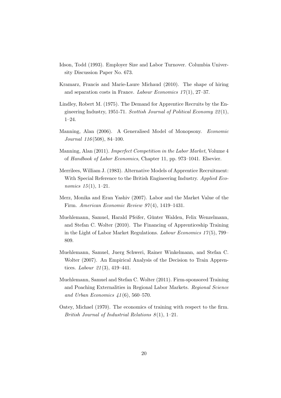- <span id="page-22-0"></span>Idson, Todd (1993). Employer Size and Labor Turnover. Columbia University Discussion Paper No. 673.
- Kramarz, Francis and Marie-Laure Michaud (2010). The shape of hiring and separation costs in France. *Labour Economics 17* (1), 27–37.
- Lindley, Robert M. (1975). The Demand for Apprentice Recruits by the Engineering Industry, 1951-71. *Scottish Journal of Political Economy 22* (1), 1–24.
- Manning, Alan (2006). A Generalised Model of Monopsony. *Economic Journal 116* (508), 84–100.
- Manning, Alan (2011). *Imperfect Competition in the Labor Market*, Volume 4 of *Handbook of Labor Economics*, Chapter 11, pp. 973–1041. Elsevier.
- Merrilees, William J. (1983). Alternative Models of Apprentice Recruitment: With Special Reference to the British Engineering Industry. *Applied Economics 15* (1), 1–21.
- Merz, Monika and Eran Yashiv (2007). Labor and the Market Value of the Firm. *American Economic Review 97* (4), 1419–1431.
- Muehlemann, Samuel, Harald Pfeifer, Günter Walden, Felix Wenzelmann, and Stefan C. Wolter (2010). The Financing of Apprenticeship Training in the Light of Labor Market Regulations. *Labour Economics 17* (5), 799– 809.
- Muehlemann, Samuel, Juerg Schweri, Rainer Winkelmann, and Stefan C. Wolter (2007). An Empirical Analysis of the Decision to Train Apprentices. *Labour 21* (3), 419–441.
- Muehlemann, Samuel and Stefan C. Wolter (2011). Firm-sponsored Training and Poaching Externalities in Regional Labor Markets. *Regional Science and Urban Economics 41* (6), 560–570.
- Oatey, Michael (1970). The economics of training with respect to the firm. *British Journal of Industrial Relations 8* (1), 1–21.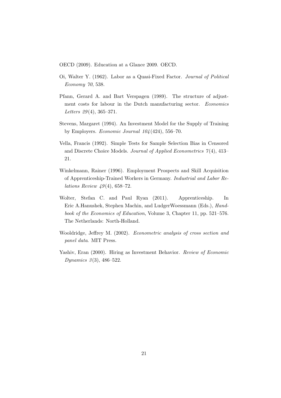<span id="page-23-0"></span>OECD (2009). Education at a Glance 2009. OECD.

- Oi, Walter Y. (1962). Labor as a Quasi-Fixed Factor. *Journal of Political Economy 70*, 538.
- Pfann, Gerard A. and Bart Verspagen (1989). The structure of adjustment costs for labour in the Dutch manufacturing sector. *Economics Letters 29* (4), 365–371.
- Stevens, Margaret (1994). An Investment Model for the Supply of Training by Employers. *Economic Journal 104* (424), 556–70.
- Vella, Francis (1992). Simple Tests for Sample Selection Bias in Censored and Discrete Choice Models. *Journal of Applied Econometrics 7* (4), 413– 21.
- Winkelmann, Rainer (1996). Employment Prospects and Skill Acquisition of Apprenticeship-Trained Workers in Germany. *Industrial and Labor Relations Review 49* (4), 658–72.
- Wolter, Stefan C. and Paul Ryan (2011). Apprenticeship. In Eric A.Hanushek, Stephen Machin, and LudgerWoessmann (Eds.), *Handbook of the Economics of Education*, Volume 3, Chapter 11, pp. 521–576. The Netherlands: North-Holland.
- Wooldridge, Jeffrey M. (2002). *Econometric analysis of cross section and panel data*. MIT Press.
- Yashiv, Eran (2000). Hiring as Investment Behavior. *Review of Economic Dynamics 3* (3), 486–522.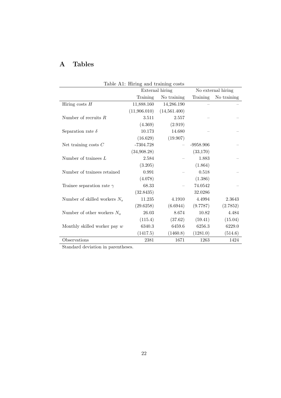# A Tables

|                                  | Table Al: Hiring and training costs |                                       |             |             |
|----------------------------------|-------------------------------------|---------------------------------------|-------------|-------------|
|                                  |                                     | External hiring<br>No external hiring |             |             |
|                                  | Training                            | No training                           | Training    | No training |
| Hiring costs $H$                 | 11,888.160                          | 14,286.190                            |             |             |
|                                  | (11,906.010)                        | (14,561.400)                          |             |             |
| Number of recruits $R$           | 3.511                               | 2.557                                 |             |             |
|                                  | (4.369)                             | (2.919)                               |             |             |
| Separation rate $\delta$         | 10.173                              | 14.680                                |             |             |
|                                  | (16.629)                            | (19.907)                              |             |             |
| Net training costs $C$           | $-7304.728$                         |                                       | $-9958.906$ |             |
|                                  | (34,908.28)                         |                                       | (33, 170)   |             |
| Number of trainees $L$           | 2.584                               |                                       | 1.883       |             |
|                                  | (3.205)                             |                                       | (1.864)     |             |
| Number of trainees retained      | 0.991                               |                                       | 0.518       |             |
|                                  | (4.078)                             |                                       | (1.386)     |             |
| Trainee separation rate $\gamma$ | 68.33                               |                                       | 74.0542     |             |
|                                  | (32.8435)                           |                                       | 32.0286     |             |
| Number of skilled workers $N_s$  | 11.235                              | 4.1910                                | 4.4994      | 2.3643      |
|                                  | (29.6258)                           | (6.6944)                              | (9.7787)    | (2.7852)    |
| Number of other workers $N_o$    | 26.03                               | 8.674                                 | 10.82       | 4.484       |
|                                  | (115.4)                             | (37.62)                               | (59.41)     | (15.04)     |
| Monthly skilled worker pay $w$   | 6340.3                              | 6459.6                                | 6256.3      | 6229.0      |
|                                  | (1417.5)                            | (1460.8)                              | (1281.0)    | (514.6)     |
| Observations                     | 2381                                | 1671                                  | 1263        | 1424        |

Table A1: Hiring and training costs

Standard deviation in parentheses.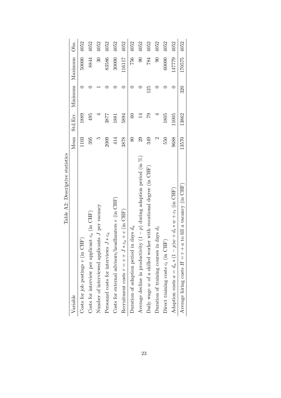<span id="page-25-0"></span>

| Lable AZ: Descributve Statistics                                            |                        |                 |                          |               |      |
|-----------------------------------------------------------------------------|------------------------|-----------------|--------------------------|---------------|------|
| Variable                                                                    | Mean                   |                 | Std.Err. Minimum Maximum |               | Obs. |
| CHF)<br>Costs for job postings $v$ (in                                      | 1103                   | 1889            |                          | 50000         | 4052 |
| Costs for interview per applicant $c_a$ (in CHF)                            | 395                    | 495             |                          | 8844          | 4052 |
| Number of interviewed applicants J per vacancy                              | r                      |                 |                          | $\mathcal{S}$ | 4052 |
| Personnel costs for interviews $J * c_a$                                    | 2009                   | 3877            |                          | 83586         | 4052 |
| Costs for external advisors/headhunters $e$ (in CHF)                        | 414                    | 1881            |                          | 30000         | 4052 |
| Recruitment costs $r = v + J * c_a + e$ (in CHF)                            | 3878                   | 5894            |                          | 116117        | 4052 |
| Duration of adaption period in days $d_a$                                   | 80                     | $\odot$         |                          | 756           | 4052 |
| Average decline in productivity $(1 - p)$ during adaption period (in $\%$ ) | $^{29}$                | $\overline{14}$ |                          | $\infty$      | 4052 |
| Daily wage w of a skilled worker with vocational degree (in CHF)            | 349                    | 62              | 125                      | 784           | 4052 |
| Duration of training courses in days $d_t$                                  | $\mathbf{\mathcal{C}}$ |                 |                          | $\odot$       | 4052 |
| Direct training costs $c_t$ (in CHF)                                        | 550                    | 1805            |                          | 60000         | 4052 |
| Adaption costs $a = d_a * (1 - p)w + d_t * w + c_t$ (in CHF)                | 9688                   | 11005           |                          | 147779        | 4052 |
| $+ a t$ o fill a vacancy (in CHF)<br>Average hiring costs $H = r$           | 13570                  | 13862           | 320                      | 170575        | 4052 |
|                                                                             |                        |                 |                          |               |      |

Table A2: Descriptive statistics Table A2: Descriptive statistics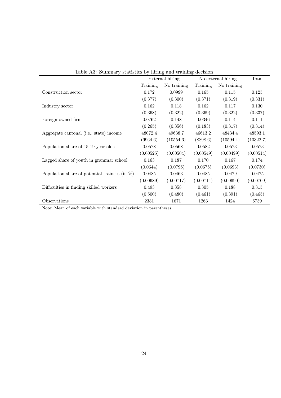<span id="page-26-0"></span>

| Table A5: Summary statistics by miring and training decision |           |                 |           |                    |           |
|--------------------------------------------------------------|-----------|-----------------|-----------|--------------------|-----------|
|                                                              |           | External hiring |           | No external hiring |           |
|                                                              | Training  | No training     | Training  | No training        |           |
| Construction sector                                          | 0.172     | 0.0999          | 0.165     | 0.115              | 0.125     |
|                                                              | (0.377)   | (0.300)         | (0.371)   | (0.319)            | (0.331)   |
| Industry sector                                              | 0.162     | 0.118           | 0.162     | 0.117              | 0.130     |
|                                                              | (0.368)   | (0.322)         | (0.369)   | (0.322)            | (0.337)   |
| Foreign-owned firm                                           | 0.0762    | 0.148           | 0.0346    | 0.114              | 0.111     |
|                                                              | (0.265)   | (0.356)         | (0.183)   | (0.317)            | (0.314)   |
| Aggregate cantonal (i.e., state) income                      | 48072.4   | 49638.7         | 46613.2   | 48434.4            | 48593.1   |
|                                                              | (9964.6)  | (10554.6)       | (8898.6)  | (10594.4)          | (10322.7) |
| Population share of 15-19-year-olds                          | 0.0578    | 0.0568          | 0.0582    | 0.0573             | 0.0573    |
|                                                              | (0.00525) | (0.00504)       | (0.00549) | (0.00499)          | (0.00514) |
| Lagged share of youth in grammar school                      | 0.163     | 0.187           | 0.170     | 0.167              | 0.174     |
|                                                              | (0.0644)  | (0.0796)        | (0.0675)  | (0.0693)           | (0.0730)  |
| Population share of potential trainees (in $\%$ )            | 0.0485    | 0.0463          | 0.0485    | 0.0479             | 0.0475    |
|                                                              | (0.00689) | (0.00717)       | (0.00714) | (0.00690)          | (0.00709) |
| Difficulties in finding skilled workers                      | 0.493     | 0.358           | 0.305     | 0.188              | 0.315     |
|                                                              | (0.500)   | (0.480)         | (0.461)   | (0.391)            | (0.465)   |
| Observations                                                 | 2381      | 1671            | 1263      | 1424               | 6739      |

Table A3: Summary statistics by hiring and training decision

Note: Mean of each variable with standard deviation in parentheses.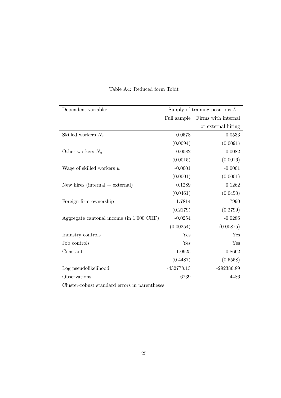<span id="page-27-0"></span>

| Dependent variable:                      | Supply of training positions $L$ |                     |  |
|------------------------------------------|----------------------------------|---------------------|--|
|                                          |                                  |                     |  |
|                                          | Full sample                      | Firms with internal |  |
|                                          |                                  | or external hiring  |  |
| Skilled workers $N_s$                    | 0.0578                           | 0.0533              |  |
|                                          | (0.0094)                         | (0.0091)            |  |
| Other workers $N_o$                      | 0.0082                           | 0.0082              |  |
|                                          | (0.0015)                         | (0.0016)            |  |
| Wage of skilled workers $w$              | $-0.0001$                        | $-0.0001$           |  |
|                                          | (0.0001)                         | (0.0001)            |  |
| New hires (internal $+$ external)        | 0.1289                           | 0.1262              |  |
|                                          | (0.0461)                         | (0.0450)            |  |
| Foreign firm ownership                   | $-1.7814$                        | $-1.7990$           |  |
|                                          | (0.2179)                         | (0.2799)            |  |
| Aggregate cantonal income (in 1'000 CHF) | $-0.0254$                        | $-0.0286$           |  |
|                                          | (0.00254)                        | (0.00875)           |  |
| Industry controls                        | Yes                              | Yes                 |  |
| Job controls                             | Yes                              | Yes                 |  |
| Constant                                 | $-1.0925$                        | $-0.8662$           |  |
|                                          | (0.4487)                         | (0.5558)            |  |
| Log pseudolikelihood                     | $-432778.13$                     | $-292386.89$        |  |
| Observations                             | 6739                             | 4486                |  |

#### Table A4: Reduced form Tobit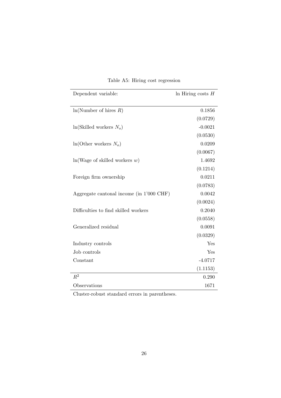<span id="page-28-0"></span>

| Dependent variable:                      | In Hiring costs $H$ |
|------------------------------------------|---------------------|
|                                          |                     |
| ln(Number of hires R)                    | 0.1856              |
|                                          | (0.0729)            |
| $ln(Skilled workers N_s)$                | $-0.0021$           |
|                                          | (0.0530)            |
| $ln(Other)$ workers $N_o)$               | 0.0209              |
|                                          | (0.0067)            |
| ln(Wage of skilled workers w)            | 1.4692              |
|                                          | (0.1214)            |
| Foreign firm ownership                   | 0.0211              |
|                                          | (0.0783)            |
| Aggregate cantonal income (in 1'000 CHF) | 0.0042              |
|                                          | (0.0024)            |
| Difficulties to find skilled workers     | 0.2040              |
|                                          | (0.0558)            |
| Generalized residual                     | 0.0091              |
|                                          | (0.0329)            |
| Industry controls                        | Yes                 |
| Job controls                             | Yes                 |
| Constant                                 | $-4.0717$           |
|                                          | (1.1153)            |
| $R^2$                                    | 0.290               |
| Observations                             | 1671                |

Table A5: Hiring cost regression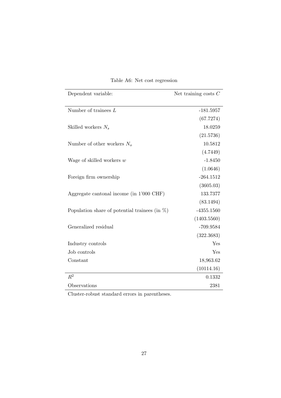<span id="page-29-0"></span>

| Dependent variable:                               | Net training costs $C$ |
|---------------------------------------------------|------------------------|
| Number of trainees $L$                            | $-181.5957$            |
|                                                   | (67.7274)              |
| Skilled workers $N_s$                             | 18.0259                |
|                                                   | (21.5736)              |
| Number of other workers $N_o$                     | 10.5812                |
|                                                   | (4.7449)               |
| Wage of skilled workers $w$                       | $-1.8450$              |
|                                                   | (1.0646)               |
| Foreign firm ownership                            | $-264.1512$            |
|                                                   | (3605.03)              |
| Aggregate cantonal income (in 1'000 CHF)          | 133.7377               |
|                                                   | (83.1494)              |
| Population share of potential trainees (in $\%$ ) | $-4355.1560$           |
|                                                   | (1403.5560)            |
| Generalized residual                              | -709.9584              |
|                                                   | (322.3683)             |
| Industry controls                                 | Yes                    |
| Job controls                                      | Yes                    |
| Constant                                          | 18,963.62              |
|                                                   | (10114.16)             |
| $R^2$                                             | 0.1332                 |
| Observations                                      | 2381                   |

# Table A6: Net cost regression